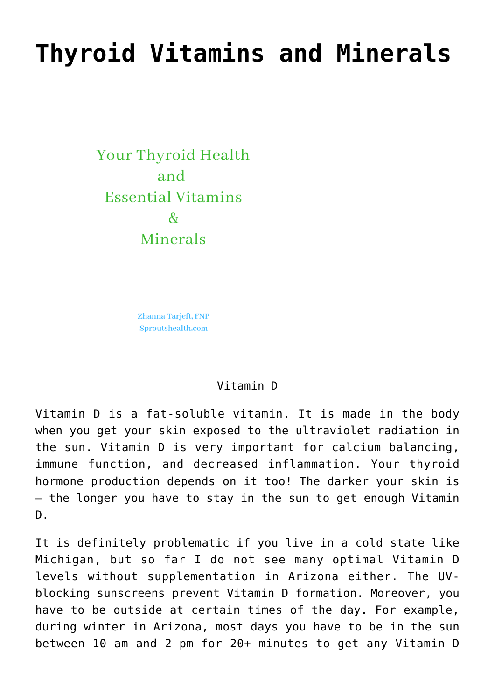## **[Thyroid Vitamins and Minerals](https://sproutshealth.com/thyroid-vitamins-and-minerals/)**

Your Thyroid Health and **Essential Vitamins**  $\mathcal{R}_{I}$ Minerals

> Zhanna Tarjeft, FNP Sproutshealth.com

## Vitamin D

Vitamin D is a fat-soluble vitamin. It is made in the body when you get your skin exposed to the ultraviolet radiation in the sun. Vitamin D is very important for calcium balancing, immune function, and decreased inflammation. Your thyroid hormone production depends on it too! The darker your skin is – the longer you have to stay in the sun to get enough Vitamin  $D<sub>z</sub>$ 

It is definitely problematic if you live in a cold state like Michigan, but so far I do not see many optimal Vitamin D levels without supplementation in Arizona either. The UVblocking sunscreens prevent Vitamin D formation. Moreover, you have to be outside at certain times of the day. For example, during winter in Arizona, most days you have to be in the sun between 10 am and 2 pm for 20+ minutes to get any Vitamin D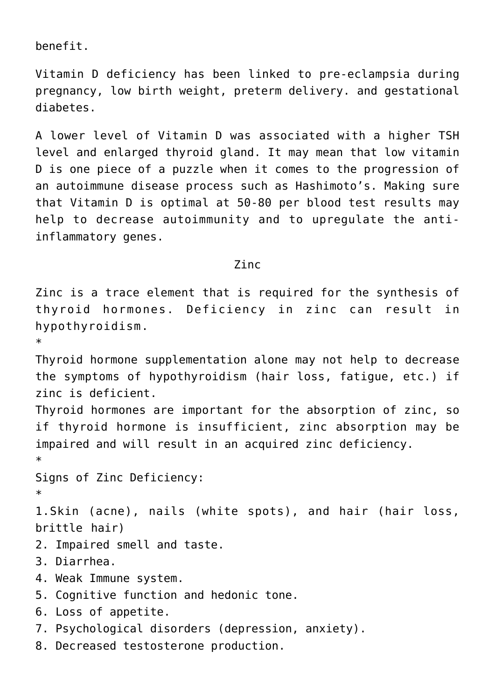benefit.

Vitamin D deficiency has been linked to pre-eclampsia during pregnancy, low birth weight, preterm delivery. and gestational diabetes.

A lower level of Vitamin D was associated with a higher TSH level and enlarged thyroid gland. It may mean that low vitamin D is one piece of a puzzle when it comes to the progression of an autoimmune disease process such as Hashimoto's. Making sure that Vitamin D is optimal at 50-80 per blood test results may help to decrease autoimmunity and to upregulate the antiinflammatory genes.

Zinc

Zinc is a trace element that is required for the synthesis of thyroid hormones. Deficiency in zinc can result in hypothyroidism. \* Thyroid hormone supplementation alone may not help to decrease the symptoms of hypothyroidism (hair loss, fatigue, etc.) if zinc is deficient. Thyroid hormones are important for the absorption of zinc, so if thyroid hormone is insufficient, zinc absorption may be impaired and will result in an acquired zinc deficiency. \* Signs of Zinc Deficiency: \* 1.Skin (acne), nails (white spots), and hair (hair loss, brittle hair) 2. Impaired smell and taste. 3. Diarrhea. 4. Weak Immune system. 5. Cognitive function and hedonic tone. 6. Loss of appetite. 7. Psychological disorders (depression, anxiety).

8. Decreased testosterone production.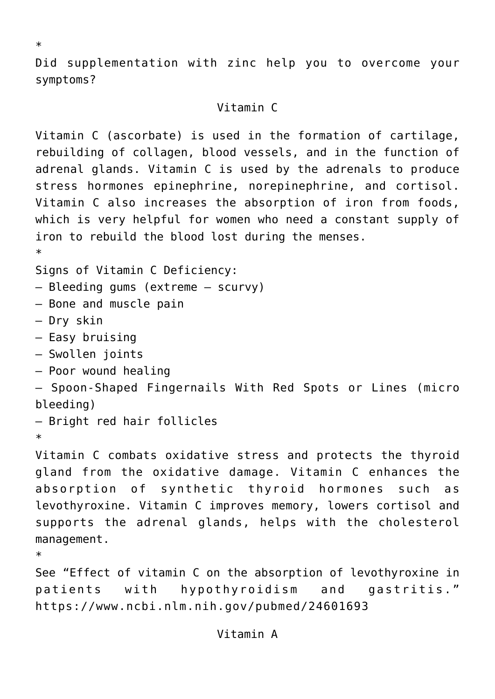Did supplementation with zinc help you to overcome your symptoms?

## Vitamin C

Vitamin C (ascorbate) is used in the formation of cartilage, rebuilding of collagen, blood vessels, and in the function of adrenal glands. Vitamin C is used by the adrenals to produce stress hormones epinephrine, norepinephrine, and cortisol. Vitamin C also increases the absorption of iron from foods, which is very helpful for women who need a constant supply of iron to rebuild the blood lost during the menses.

Signs of Vitamin C Deficiency:

```
– Bleeding gums (extreme – scurvy)
```
- Bone and muscle pain
- Dry skin
- Easy bruising
- Swollen joints
- Poor wound healing

```
– Spoon-Shaped Fingernails With Red Spots or Lines (micro
bleeding)
```
– Bright red hair follicles

\*

\*

\*

Vitamin C combats oxidative stress and protects the thyroid gland from the oxidative damage. Vitamin C enhances the absorption of synthetic thyroid hormones such as levothyroxine. Vitamin C improves memory, lowers cortisol and supports the adrenal glands, helps with the cholesterol management.

See "Effect of vitamin C on the absorption of levothyroxine in patients with hypothyroidism and gastritis." https://www.ncbi.nlm.nih.gov/pubmed/24601693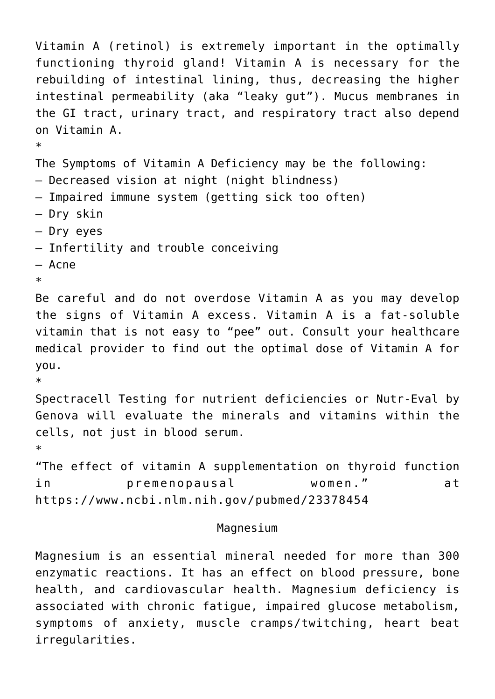```
Vitamin A (retinol) is extremely important in the optimally
functioning thyroid gland! Vitamin A is necessary for the
rebuilding of intestinal lining, thus, decreasing the higher
intestinal permeability (aka "leaky gut"). Mucus membranes in
the GI tract, urinary tract, and respiratory tract also depend
on Vitamin A.
*
The Symptoms of Vitamin A Deficiency may be the following:
– Decreased vision at night (night blindness)
– Impaired immune system (getting sick too often)
– Dry skin
– Dry eyes
– Infertility and trouble conceiving
– Acne
*
Be careful and do not overdose Vitamin A as you may develop
the signs of Vitamin A excess. Vitamin A is a fat-soluble
vitamin that is not easy to "pee" out. Consult your healthcare
medical provider to find out the optimal dose of Vitamin A for
you.
*
Spectracell Testing for nutrient deficiencies or Nutr-Eval by
Genova will evaluate the minerals and vitamins within the
cells, not just in blood serum.
*
"The effect of vitamin A supplementation on thyroid function
in premenopausal women." at
https://www.ncbi.nlm.nih.gov/pubmed/23378454
                         Magnesium
```
Magnesium is an essential mineral needed for more than 300 enzymatic reactions. It has an effect on blood pressure, bone health, and cardiovascular health. Magnesium deficiency is associated with chronic fatigue, impaired glucose metabolism, symptoms of anxiety, muscle cramps/twitching, heart beat irregularities.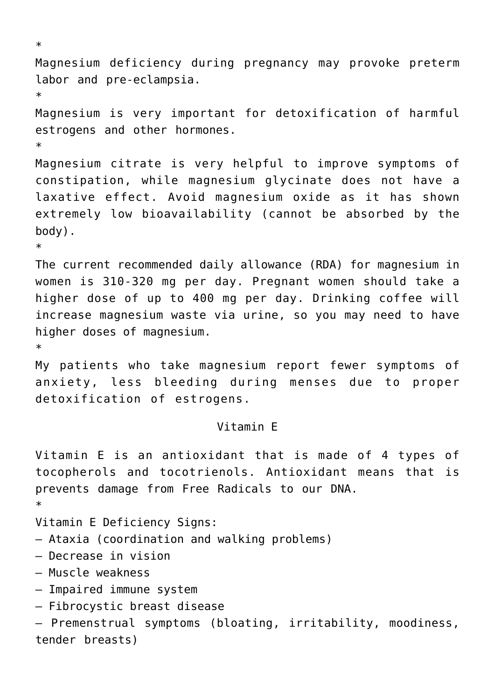```
*
Magnesium deficiency during pregnancy may provoke preterm
labor and pre-eclampsia.
*
Magnesium is very important for detoxification of harmful
estrogens and other hormones.
*
Magnesium citrate is very helpful to improve symptoms of
constipation, while magnesium glycinate does not have a
laxative effect. Avoid magnesium oxide as it has shown
extremely low bioavailability (cannot be absorbed by the
body).
*
The current recommended daily allowance (RDA) for magnesium in
women is 310-320 mg per day. Pregnant women should take a
higher dose of up to 400 mg per day. Drinking coffee will
increase magnesium waste via urine, so you may need to have
higher doses of magnesium.
*
My patients who take magnesium report fewer symptoms of
anxiety, less bleeding during menses due to proper
detoxification of estrogens.
                         Vitamin E
Vitamin E is an antioxidant that is made of 4 types of
tocopherols and tocotrienols. Antioxidant means that is
prevents damage from Free Radicals to our DNA.
*
Vitamin E Deficiency Signs:
– Ataxia (coordination and walking problems)
– Decrease in vision
– Muscle weakness
– Impaired immune system
– Fibrocystic breast disease
– Premenstrual symptoms (bloating, irritability, moodiness,
```
tender breasts)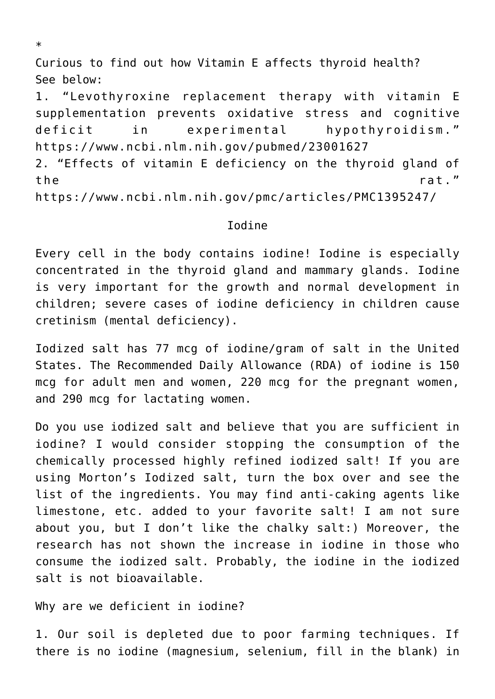Curious to find out how Vitamin E affects thyroid health? See below:

1. "Levothyroxine replacement therapy with vitamin E supplementation prevents oxidative stress and cognitive deficit in experimental hypothyroidism." https://www.ncbi.nlm.nih.gov/pubmed/23001627

2. "Effects of vitamin E deficiency on the thyroid gland of the rat."

https://www.ncbi.nlm.nih.gov/pmc/articles/PMC1395247/

## Iodine

Every cell in the body contains iodine! Iodine is especially concentrated in the thyroid gland and mammary glands. Iodine is very important for the growth and normal development in children; severe cases of iodine deficiency in children cause cretinism (mental deficiency).

Iodized salt has 77 mcg of iodine/gram of salt in the United States. The Recommended Daily Allowance (RDA) of iodine is 150 mcg for adult men and women, 220 mcg for the pregnant women, and 290 mcg for lactating women.

Do you use iodized salt and believe that you are sufficient in iodine? I would consider stopping the consumption of the chemically processed highly refined iodized salt! If you are using Morton's Iodized salt, turn the box over and see the list of the ingredients. You may find anti-caking agents like limestone, etc. added to your favorite salt! I am not sure about you, but I don't like the chalky salt:) Moreover, the research has not shown the increase in iodine in those who consume the iodized salt. Probably, the iodine in the iodized salt is not bioavailable.

Why are we deficient in iodine?

1. Our soil is depleted due to poor farming techniques. If there is no iodine (magnesium, selenium, fill in the blank) in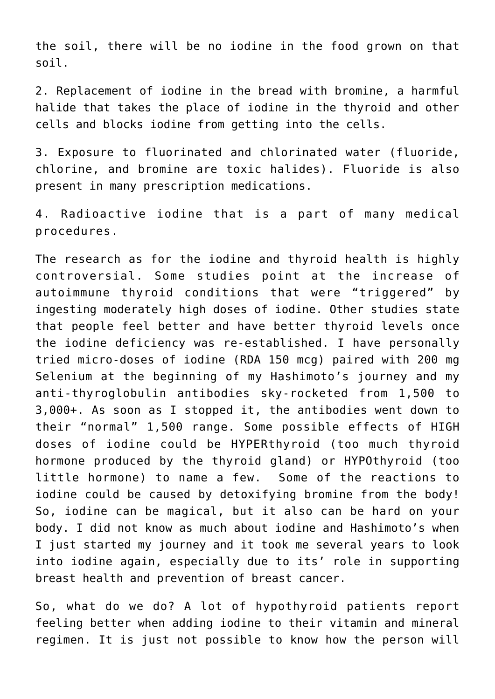the soil, there will be no iodine in the food grown on that soil.

2. Replacement of iodine in the bread with bromine, a harmful halide that takes the place of iodine in the thyroid and other cells and blocks iodine from getting into the cells.

3. Exposure to fluorinated and chlorinated water (fluoride, chlorine, and bromine are toxic halides). Fluoride is also present in many prescription medications.

4. Radioactive iodine that is a part of many medical procedures.

The research as for the iodine and thyroid health is highly controversial. Some studies point at the increase of autoimmune thyroid conditions that were "triggered" by ingesting moderately high doses of iodine. Other studies state that people feel better and have better thyroid levels once the iodine deficiency was re-established. I have personally tried micro-doses of iodine (RDA 150 mcg) paired with 200 mg Selenium at the beginning of my Hashimoto's journey and my anti-thyroglobulin antibodies sky-rocketed from 1,500 to 3,000+. As soon as I stopped it, the antibodies went down to their "normal" 1,500 range. Some possible effects of HIGH doses of iodine could be HYPERthyroid (too much thyroid hormone produced by the thyroid gland) or HYPOthyroid (too little hormone) to name a few. Some of the reactions to iodine could be caused by detoxifying bromine from the body! So, iodine can be magical, but it also can be hard on your body. I did not know as much about iodine and Hashimoto's when I just started my journey and it took me several years to look into iodine again, especially due to its' role in supporting breast health and prevention of breast cancer.

So, what do we do? A lot of hypothyroid patients report feeling better when adding iodine to their vitamin and mineral regimen. It is just not possible to know how the person will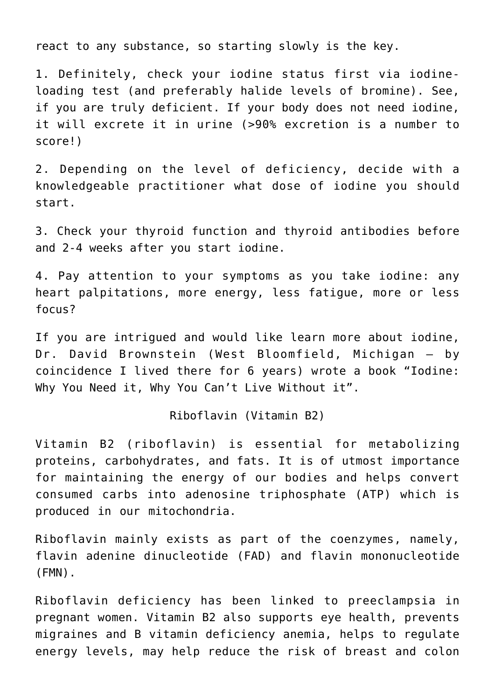react to any substance, so starting slowly is the key.

1. Definitely, check your iodine status first via iodineloading test (and preferably halide levels of bromine). See, if you are truly deficient. If your body does not need iodine, it will excrete it in urine (>90% excretion is a number to score!)

2. Depending on the level of deficiency, decide with a knowledgeable practitioner what dose of iodine you should start.

3. Check your thyroid function and thyroid antibodies before and 2-4 weeks after you start iodine.

4. Pay attention to your symptoms as you take iodine: any heart palpitations, more energy, less fatigue, more or less focus?

If you are intrigued and would like learn more about iodine, Dr. David Brownstein (West Bloomfield, Michigan – by coincidence I lived there for 6 years) wrote a book "Iodine: Why You Need it, Why You Can't Live Without it".

Riboflavin (Vitamin B2)

Vitamin B2 (riboflavin) is essential for metabolizing proteins, carbohydrates, and fats. It is of utmost importance for maintaining the energy of our bodies and helps convert consumed carbs into adenosine triphosphate (ATP) which is produced in our mitochondria.

Riboflavin mainly exists as part of the coenzymes, namely, flavin adenine dinucleotide (FAD) and flavin mononucleotide (FMN).

Riboflavin deficiency has been linked to preeclampsia in pregnant women. Vitamin B2 also supports eye health, prevents migraines and B vitamin deficiency anemia, helps to regulate energy levels, may help reduce the risk of breast and colon